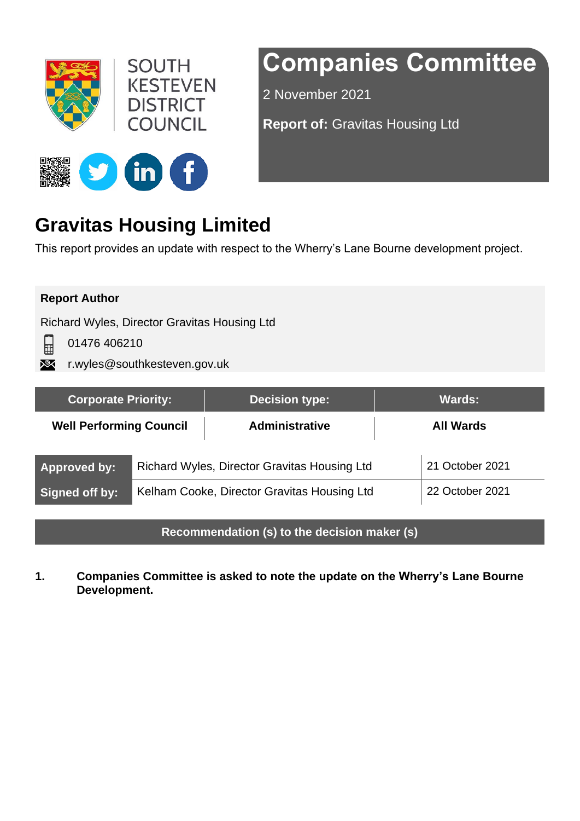



# **Companies Committee**

2 November 2021

**Report of:** Gravitas Housing Ltd



# **Gravitas Housing Limited**

This report provides an update with respect to the Wherry's Lane Bourne development project.

## **Report Author**

닖

Richard Wyles, Director Gravitas Housing Ltd

01476 406210

**XX** r.wyles@southkesteven.gov.uk

| <b>Corporate Priority:</b>                   |                                              | <b>Decision type:</b> | <b>Wards:</b>    |  |
|----------------------------------------------|----------------------------------------------|-----------------------|------------------|--|
| <b>Well Performing Council</b>               |                                              | <b>Administrative</b> | <b>All Wards</b> |  |
| <b>Approved by:</b>                          | Richard Wyles, Director Gravitas Housing Ltd | 21 October 2021       |                  |  |
| Signed off by:                               | Kelham Cooke, Director Gravitas Housing Ltd  |                       | 22 October 2021  |  |
| Recommendation (s) to the decision maker (s) |                                              |                       |                  |  |

**1. Companies Committee is asked to note the update on the Wherry's Lane Bourne Development.**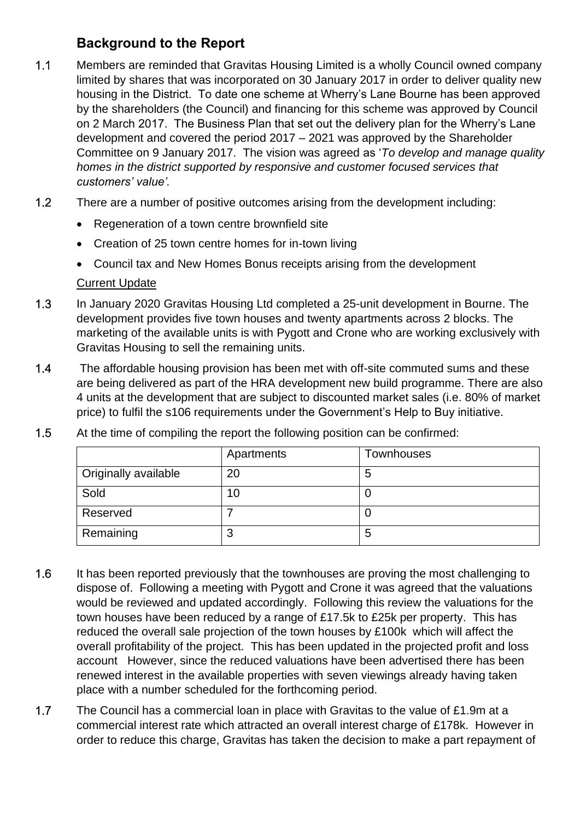# **Background to the Report**

- 1.1 Members are reminded that Gravitas Housing Limited is a wholly Council owned company limited by shares that was incorporated on 30 January 2017 in order to deliver quality new housing in the District. To date one scheme at Wherry's Lane Bourne has been approved by the shareholders (the Council) and financing for this scheme was approved by Council on 2 March 2017. The Business Plan that set out the delivery plan for the Wherry's Lane development and covered the period 2017 – 2021 was approved by the Shareholder Committee on 9 January 2017. The vision was agreed as '*To develop and manage quality homes in the district supported by responsive and customer focused services that customers' value'.*
- 1.2 There are a number of positive outcomes arising from the development including:
	- Regeneration of a town centre brownfield site
	- Creation of 25 town centre homes for in-town living
	- Council tax and New Homes Bonus receipts arising from the development

#### Current Update

- 1.3 In January 2020 Gravitas Housing Ltd completed a 25-unit development in Bourne. The development provides five town houses and twenty apartments across 2 blocks. The marketing of the available units is with Pygott and Crone who are working exclusively with Gravitas Housing to sell the remaining units.
- 1.4 The affordable housing provision has been met with off-site commuted sums and these are being delivered as part of the HRA development new build programme. There are also 4 units at the development that are subject to discounted market sales (i.e. 80% of market price) to fulfil the s106 requirements under the Government's Help to Buy initiative.

|                             | Apartments | <b>Townhouses</b> |
|-----------------------------|------------|-------------------|
| <b>Originally available</b> | 20         | 5                 |
| Sold                        | 10         |                   |
| Reserved                    |            |                   |
| Remaining                   | ◠<br>đ     | 5                 |

1.5 At the time of compiling the report the following position can be confirmed:

- 1.6 It has been reported previously that the townhouses are proving the most challenging to dispose of. Following a meeting with Pygott and Crone it was agreed that the valuations would be reviewed and updated accordingly. Following this review the valuations for the town houses have been reduced by a range of £17.5k to £25k per property. This has reduced the overall sale projection of the town houses by £100k which will affect the overall profitability of the project. This has been updated in the projected profit and loss account However, since the reduced valuations have been advertised there has been renewed interest in the available properties with seven viewings already having taken place with a number scheduled for the forthcoming period.
- 1.7 The Council has a commercial loan in place with Gravitas to the value of £1.9m at a commercial interest rate which attracted an overall interest charge of £178k. However in order to reduce this charge, Gravitas has taken the decision to make a part repayment of